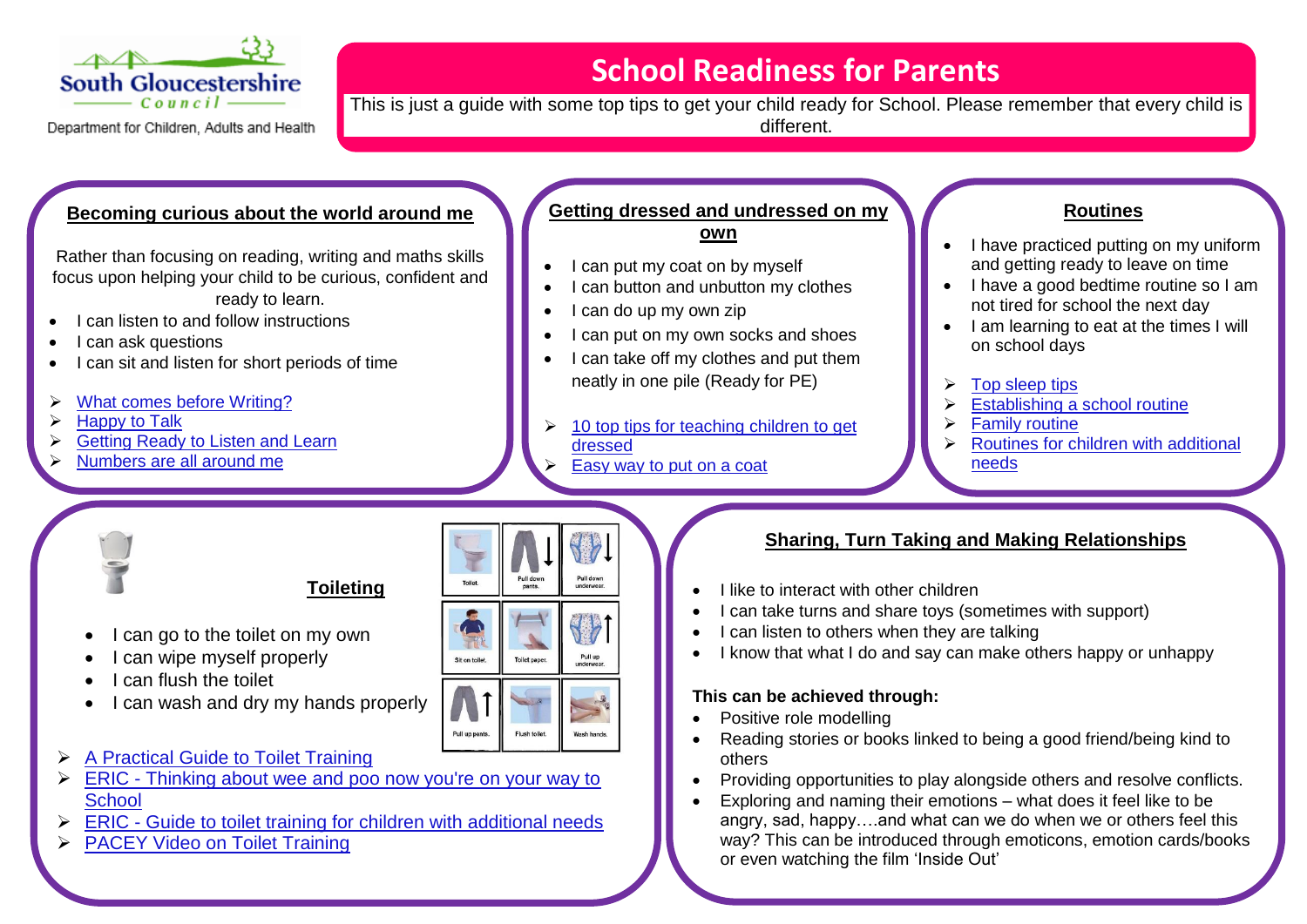

Department for Children, Adults and Health

## **School Readiness for Parents**<br>South Gloucestershire

This is just a guide with some top tips to get your child ready for School. Please remember that every child is different.

#### **Becoming curious about the world around me**

Rather than focusing on reading, writing and maths skills focus upon helping your child to be curious, confident and ready to learn.

- I can listen to and follow instructions
- I can ask questions
- I can sit and listen for short periods of time
- [What comes before Writing?](https://www.pacey.org.uk/Pacey/media/Website-files/school%20ready/Make-a-mark,-make-a-start.pdf)
- [Happy to Talk](https://www.pacey.org.uk/Pacey/media/Website-files/school%20ready/Happy-Talk.pdf)
- [Getting Ready to Listen and Learn](https://www.pacey.org.uk/Pacey/media/Website-files/school%20ready/Listen-and-Learn.pdf)
- [Numbers are all around me](https://www.pacey.org.uk/Pacey/media/Website-files/school%20ready/The-Numbers-Game.pdf)

#### **Getting dressed and undressed on my own**

- I can put my coat on by myself
- I can button and unbutton my clothes
- I can do up my own zip
- I can put on my own socks and shoes
- I can take off my clothes and put them neatly in one pile (Ready for PE)
- [10 top tips for teaching children to get](https://www.mother.ly/child/10-expert-tips-to-help-your-kids-get-dressed-by-themselves)  [dressed](https://www.mother.ly/child/10-expert-tips-to-help-your-kids-get-dressed-by-themselves)
- [Easy way to put on a coat](https://www.youtube.com/watch?v=w9Hohc3mkjA)

#### **Routines**

- I have practiced putting on my uniform and getting ready to leave on time
- I have a good bedtime routine so I am not tired for school the next day
- I am learning to eat at the times I will on school days
- [Top sleep tips](https://www.nhs.uk/live-well/sleep-and-tiredness/healthy-sleep-tips-for-children/)
- [Establishing a school routine](https://www.familylives.org.uk/advice/primary/learning-school/establishing-a-school-routine/)
- $\triangleright$  [Family routine](https://www.supernanny.co.uk/Advice/-/Parenting-Skills/-/Routine-and-Teamwork/Family-Routine.aspx)
- [Routines for children with additional](https://mouthsofmums.com.au/routines-for-special-needs-kids/)  [needs](https://mouthsofmums.com.au/routines-for-special-needs-kids/)



### **Toileting**

- I can go to the toilet on my own
- I can wipe myself properly
- I can flush the toilet
- I can wash and dry my hands properly
- [A Practical Guide to Toilet Training](https://sgca.myvle.co.uk/files/sc3063/websites/sspace_72/resources/__7c0a758e52bc87dd8f91700fa458b4d5.pdf)
- ERIC Thinking about wee and poo now you're on your way to **[School](https://www.eric.org.uk/Handlers/Download.ashx?IDMF=10d3b255-11c5-47c0-ac64-1b6c9d33d739)**
- $\triangleright$  ERIC [Guide to toilet training for children with additional needs](https://www.eric.org.uk/Handlers/Download.ashx?IDMF=9b1c4466-ef97-436f-ad8a-9d53ffddb6a9)
- **[PACEY Video on Toilet Training](https://www.youtube.com/watch?v=p75WEMNyRiw)**



#### **Sharing, Turn Taking and Making Relationships**

- I like to interact with other children [Ready, Steady, Dress activity](https://www.pacey.org.uk/Pacey/media/Website-files/school%20ready/PACEY_schoolready_activity.pdf)
	- I can take turns and share toys (sometimes with support)
	- I can listen to others when they are talking
	- I know that what I do and say can make others happy or unhappy

#### **This can be achieved through:**

- Positive role modelling
- Reading stories or books linked to being a good friend/being kind to others
- Providing opportunities to play alongside others and resolve conflicts.
- Exploring and naming their emotions what does it feel like to be angry, sad, happy....and what can we do when we or others feel this way? This can be introduced through emoticons, emotion cards/books or even watching the film 'Inside Out'